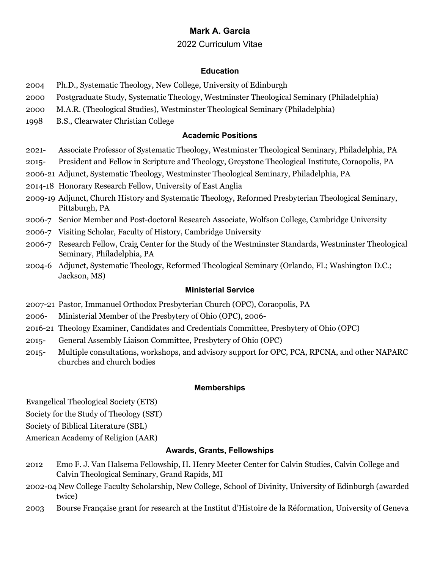#### **Education**

- 2004 Ph.D., Systematic Theology, New College, University of Edinburgh
- 2000 Postgraduate Study, Systematic Theology, Westminster Theological Seminary (Philadelphia)
- 2000 M.A.R. (Theological Studies), Westminster Theological Seminary (Philadelphia)
- 1998 B.S., Clearwater Christian College

# **Academic Positions**

- 2021- Associate Professor of Systematic Theology, Westminster Theological Seminary, Philadelphia, PA
- 2015- President and Fellow in Scripture and Theology, Greystone Theological Institute, Coraopolis, PA
- 2006-21 Adjunct, Systematic Theology, Westminster Theological Seminary, Philadelphia, PA
- 2014-18 Honorary Research Fellow, University of East Anglia
- 2009-19 Adjunct, Church History and Systematic Theology, Reformed Presbyterian Theological Seminary, Pittsburgh, PA
- 2006-7 Senior Member and Post-doctoral Research Associate, Wolfson College, Cambridge University
- 2006-7 Visiting Scholar, Faculty of History, Cambridge University
- 2006-7 Research Fellow, Craig Center for the Study of the Westminster Standards, Westminster Theological Seminary, Philadelphia, PA
- 2004-6 Adjunct, Systematic Theology, Reformed Theological Seminary (Orlando, FL; Washington D.C.; Jackson, MS)

### **Ministerial Service**

- 2007-21 Pastor, Immanuel Orthodox Presbyterian Church (OPC), Coraopolis, PA
- 2006- Ministerial Member of the Presbytery of Ohio (OPC), 2006-
- 2016-21 Theology Examiner, Candidates and Credentials Committee, Presbytery of Ohio (OPC)
- 2015- General Assembly Liaison Committee, Presbytery of Ohio (OPC)
- 2015- Multiple consultations, workshops, and advisory support for OPC, PCA, RPCNA, and other NAPARC churches and church bodies

### **Memberships**

Evangelical Theological Society (ETS)

Society for the Study of Theology (SST)

Society of Biblical Literature (SBL)

American Academy of Religion (AAR)

### **Awards, Grants, Fellowships**

- 2012 Emo F. J. Van Halsema Fellowship, H. Henry Meeter Center for Calvin Studies, Calvin College and Calvin Theological Seminary, Grand Rapids, MI
- 2002-04 New College Faculty Scholarship, New College, School of Divinity, University of Edinburgh (awarded twice)
- 2003 Bourse Française grant for research at the Institut d'Histoire de la Réformation, University of Geneva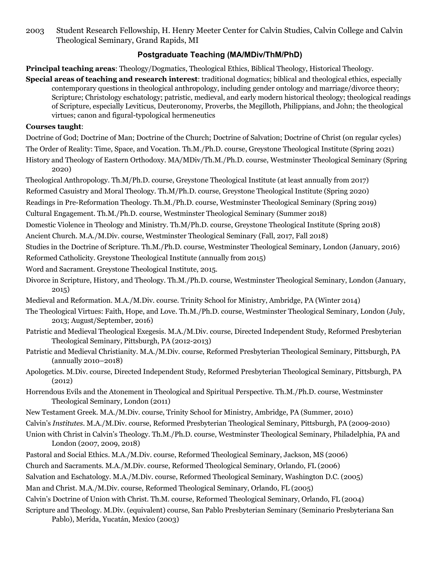2003 Student Research Fellowship, H. Henry Meeter Center for Calvin Studies, Calvin College and Calvin Theological Seminary, Grand Rapids, MI

# **Postgraduate Teaching (MA/MDiv/ThM/PhD)**

**Principal teaching areas**: Theology/Dogmatics, Theological Ethics, Biblical Theology, Historical Theology.

**Special areas of teaching and research interest**: traditional dogmatics; biblical and theological ethics, especially contemporary questions in theological anthropology, including gender ontology and marriage/divorce theory; Scripture; Christology eschatology; patristic, medieval, and early modern historical theology; theological readings of Scripture, especially Leviticus, Deuteronomy, Proverbs, the Megilloth, Philippians, and John; the theological virtues; canon and figural-typological hermeneutics

#### **Courses taught**:

Doctrine of God; Doctrine of Man; Doctrine of the Church; Doctrine of Salvation; Doctrine of Christ (on regular cycles) The Order of Reality: Time, Space, and Vocation. Th.M./Ph.D. course, Greystone Theological Institute (Spring 2021) History and Theology of Eastern Orthodoxy. MA/MDiv/Th.M./Ph.D. course, Westminster Theological Seminary (Spring

2020)

Theological Anthropology. Th.M/Ph.D. course, Greystone Theological Institute (at least annually from 2017)

Reformed Casuistry and Moral Theology. Th.M/Ph.D. course, Greystone Theological Institute (Spring 2020)

Readings in Pre-Reformation Theology. Th.M./Ph.D. course, Westminster Theological Seminary (Spring 2019)

Cultural Engagement. Th.M./Ph.D. course, Westminster Theological Seminary (Summer 2018)

Domestic Violence in Theology and Ministry. Th.M/Ph.D. course, Greystone Theological Institute (Spring 2018)

Ancient Church. M.A./M.Div. course, Westminster Theological Seminary (Fall, 2017, Fall 2018)

Studies in the Doctrine of Scripture. Th.M./Ph.D. course, Westminster Theological Seminary, London (January, 2016)

Reformed Catholicity. Greystone Theological Institute (annually from 2015)

Word and Sacrament. Greystone Theological Institute, 2015.

Divorce in Scripture, History, and Theology. Th.M./Ph.D. course, Westminster Theological Seminary, London (January, 2015)

Medieval and Reformation. M.A./M.Div. course. Trinity School for Ministry, Ambridge, PA (Winter 2014)

The Theological Virtues: Faith, Hope, and Love. Th.M./Ph.D. course, Westminster Theological Seminary, London (July, 2013; August/September, 2016)

Patristic and Medieval Theological Exegesis. M.A./M.Div. course, Directed Independent Study, Reformed Presbyterian Theological Seminary, Pittsburgh, PA (2012-2013)

Patristic and Medieval Christianity. M.A./M.Div. course, Reformed Presbyterian Theological Seminary, Pittsburgh, PA (annually 2010–2018)

Apologetics. M.Div. course, Directed Independent Study, Reformed Presbyterian Theological Seminary, Pittsburgh, PA (2012)

Horrendous Evils and the Atonement in Theological and Spiritual Perspective. Th.M./Ph.D. course, Westminster Theological Seminary, London (2011)

New Testament Greek. M.A./M.Div. course, Trinity School for Ministry, Ambridge, PA (Summer, 2010)

Calvin's *Institutes*. M.A./M.Div. course, Reformed Presbyterian Theological Seminary, Pittsburgh, PA (2009-2010)

Union with Christ in Calvin's Theology. Th.M./Ph.D. course, Westminster Theological Seminary, Philadelphia, PA and London (2007, 2009, 2018)

Pastoral and Social Ethics. M.A./M.Div. course, Reformed Theological Seminary, Jackson, MS (2006)

Church and Sacraments. M.A./M.Div. course, Reformed Theological Seminary, Orlando, FL (2006)

Salvation and Eschatology. M.A./M.Div. course, Reformed Theological Seminary, Washington D.C. (2005)

Man and Christ. M.A./M.Div. course, Reformed Theological Seminary, Orlando, FL (2005)

Calvin's Doctrine of Union with Christ. Th.M. course, Reformed Theological Seminary, Orlando, FL (2004)

Scripture and Theology. M.Div. (equivalent) course, San Pablo Presbyterian Seminary (Seminario Presbyteriana San Pablo), Merída, Yucatán, Mexico (2003)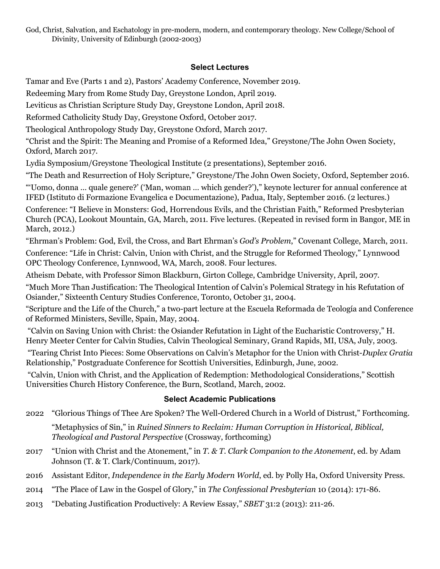God, Christ, Salvation, and Eschatology in pre-modern, modern, and contemporary theology. New College/School of Divinity, University of Edinburgh (2002-2003)

# **Select Lectures**

Tamar and Eve (Parts 1 and 2), Pastors' Academy Conference, November 2019.

Redeeming Mary from Rome Study Day, Greystone London, April 2019.

Leviticus as Christian Scripture Study Day, Greystone London, April 2018.

Reformed Catholicity Study Day, Greystone Oxford, October 2017.

Theological Anthropology Study Day, Greystone Oxford, March 2017.

"Christ and the Spirit: The Meaning and Promise of a Reformed Idea," Greystone/The John Owen Society, Oxford, March 2017.

Lydia Symposium/Greystone Theological Institute (2 presentations), September 2016.

"The Death and Resurrection of Holy Scripture," Greystone/The John Owen Society, Oxford, September 2016. "'Uomo, donna … quale genere?' ('Man, woman … which gender?')," keynote lecturer for annual conference at IFED (Istituto di Formazione Evangelica e Documentazione), Padua, Italy, September 2016. (2 lectures.)

Conference: "I Believe in Monsters: God, Horrendous Evils, and the Christian Faith," Reformed Presbyterian Church (PCA), Lookout Mountain, GA, March, 2011. Five lectures. (Repeated in revised form in Bangor, ME in March, 2012.)

"Ehrman's Problem: God, Evil, the Cross, and Bart Ehrman's *God's Problem*," Covenant College, March, 2011.

Conference: "Life in Christ: Calvin, Union with Christ, and the Struggle for Reformed Theology," Lynnwood OPC Theology Conference, Lynnwood, WA, March, 2008. Four lectures.

Atheism Debate, with Professor Simon Blackburn, Girton College, Cambridge University, April, 2007.

"Much More Than Justification: The Theological Intention of Calvin's Polemical Strategy in his Refutation of Osiander," Sixteenth Century Studies Conference, Toronto, October 31, 2004.

"Scripture and the Life of the Church," a two-part lecture at the Escuela Reformada de Teología and Conference of Reformed Ministers, Seville, Spain, May, 2004.

"Calvin on Saving Union with Christ: the Osiander Refutation in Light of the Eucharistic Controversy," H. Henry Meeter Center for Calvin Studies, Calvin Theological Seminary, Grand Rapids, MI, USA, July, 2003.

"Tearing Christ Into Pieces: Some Observations on Calvin's Metaphor for the Union with Christ-*Duplex Gratia* Relationship," Postgraduate Conference for Scottish Universities, Edinburgh, June, 2002.

"Calvin, Union with Christ, and the Application of Redemption: Methodological Considerations," Scottish Universities Church History Conference, the Burn, Scotland, March, 2002.

# **Select Academic Publications**

- 2022 "Glorious Things of Thee Are Spoken? The Well-Ordered Church in a World of Distrust," Forthcoming. "Metaphysics of Sin," in *Ruined Sinners to Reclaim: Human Corruption in Historical, Biblical, Theological and Pastoral Perspective* (Crossway, forthcoming)
- 2017 "Union with Christ and the Atonement," in *T. & T. Clark Companion to the Atonement*, ed. by Adam Johnson (T. & T. Clark/Continuum, 2017).
- 2016 Assistant Editor, *Independence in the Early Modern World*, ed. by Polly Ha, Oxford University Press.
- 2014 "The Place of Law in the Gospel of Glory," in *The Confessional Presbyterian* 10 (2014): 171-86.
- 2013 "Debating Justification Productively: A Review Essay," *SBET* 31:2 (2013): 211-26.